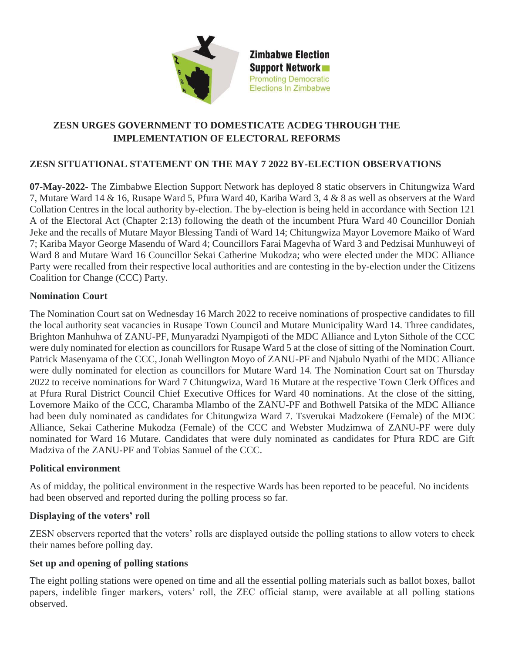

**Zimbabwe Election Support Network Promoting Democratic Elections In Zimbabwe** 

# **ZESN URGES GOVERNMENT TO DOMESTICATE ACDEG THROUGH THE IMPLEMENTATION OF ELECTORAL REFORMS**

## **ZESN SITUATIONAL STATEMENT ON THE MAY 7 2022 BY-ELECTION OBSERVATIONS**

**07-May-2022**- The Zimbabwe Election Support Network has deployed 8 static observers in Chitungwiza Ward 7, Mutare Ward 14 & 16, Rusape Ward 5, Pfura Ward 40, Kariba Ward 3, 4 & 8 as well as observers at the Ward Collation Centres in the local authority by-election. The by-election is being held in accordance with Section 121 A of the Electoral Act (Chapter 2:13) following the death of the incumbent Pfura Ward 40 Councillor Doniah Jeke and the recalls of Mutare Mayor Blessing Tandi of Ward 14; Chitungwiza Mayor Lovemore Maiko of Ward 7; Kariba Mayor George Masendu of Ward 4; Councillors Farai Magevha of Ward 3 and Pedzisai Munhuweyi of Ward 8 and Mutare Ward 16 Councillor Sekai Catherine Mukodza; who were elected under the MDC Alliance Party were recalled from their respective local authorities and are contesting in the by-election under the Citizens Coalition for Change (CCC) Party.

### **Nomination Court**

The Nomination Court sat on Wednesday 16 March 2022 to receive nominations of prospective candidates to fill the local authority seat vacancies in Rusape Town Council and Mutare Municipality Ward 14. Three candidates, Brighton Manhuhwa of ZANU-PF, Munyaradzi Nyampigoti of the MDC Alliance and Lyton Sithole of the CCC were duly nominated for election as councillors for Rusape Ward 5 at the close of sitting of the Nomination Court. Patrick Masenyama of the CCC, Jonah Wellington Moyo of ZANU-PF and Njabulo Nyathi of the MDC Alliance were dully nominated for election as councillors for Mutare Ward 14. The Nomination Court sat on Thursday 2022 to receive nominations for Ward 7 Chitungwiza, Ward 16 Mutare at the respective Town Clerk Offices and at Pfura Rural District Council Chief Executive Offices for Ward 40 nominations. At the close of the sitting, Lovemore Maiko of the CCC, Charamba Mlambo of the ZANU-PF and Bothwell Patsika of the MDC Alliance had been duly nominated as candidates for Chitungwiza Ward 7. Tsverukai Madzokere (Female) of the MDC Alliance, Sekai Catherine Mukodza (Female) of the CCC and Webster Mudzimwa of ZANU-PF were duly nominated for Ward 16 Mutare. Candidates that were duly nominated as candidates for Pfura RDC are Gift Madziva of the ZANU-PF and Tobias Samuel of the CCC.

#### **Political environment**

As of midday, the political environment in the respective Wards has been reported to be peaceful. No incidents had been observed and reported during the polling process so far.

## **Displaying of the voters' roll**

ZESN observers reported that the voters' rolls are displayed outside the polling stations to allow voters to check their names before polling day.

## **Set up and opening of polling stations**

The eight polling stations were opened on time and all the essential polling materials such as ballot boxes, ballot papers, indelible finger markers, voters' roll, the ZEC official stamp, were available at all polling stations observed.